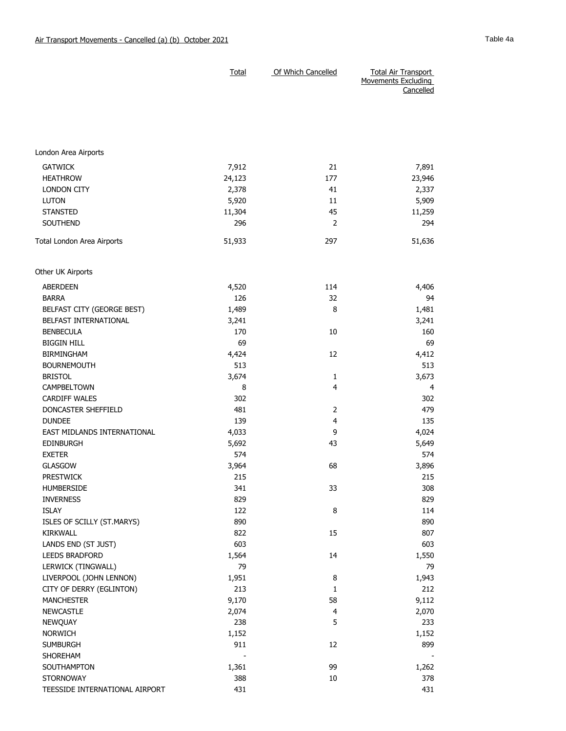|                                | <b>Total</b> | Of Which Cancelled | <b>Total Air Transport</b><br>Movements Excluding<br>Cancelled |
|--------------------------------|--------------|--------------------|----------------------------------------------------------------|
|                                |              |                    |                                                                |
| London Area Airports           |              |                    |                                                                |
| <b>GATWICK</b>                 | 7,912        | 21                 | 7,891                                                          |
| <b>HEATHROW</b>                | 24,123       | 177                | 23,946                                                         |
| <b>LONDON CITY</b>             | 2,378        | 41                 | 2,337                                                          |
| <b>LUTON</b>                   | 5,920        | 11                 | 5,909                                                          |
| <b>STANSTED</b>                | 11,304       | 45                 | 11,259                                                         |
| <b>SOUTHEND</b>                | 296          | $\overline{2}$     | 294                                                            |
| Total London Area Airports     | 51,933       | 297                | 51,636                                                         |
| Other UK Airports              |              |                    |                                                                |
| <b>ABERDEEN</b>                | 4,520        | 114                | 4,406                                                          |
| <b>BARRA</b>                   | 126          | 32                 | 94                                                             |
| BELFAST CITY (GEORGE BEST)     | 1,489        | 8                  | 1,481                                                          |
| BELFAST INTERNATIONAL          | 3,241        |                    | 3,241                                                          |
| <b>BENBECULA</b>               | 170          | 10                 | 160                                                            |
| <b>BIGGIN HILL</b>             | 69           |                    | 69                                                             |
| <b>BIRMINGHAM</b>              | 4,424        | 12                 | 4,412                                                          |
| <b>BOURNEMOUTH</b>             | 513          |                    | 513                                                            |
| <b>BRISTOL</b>                 | 3,674        | 1                  | 3,673                                                          |
| CAMPBELTOWN                    | 8            | 4                  | 4                                                              |
| <b>CARDIFF WALES</b>           | 302          |                    | 302                                                            |
| DONCASTER SHEFFIELD            | 481          | 2                  | 479                                                            |
| <b>DUNDEE</b>                  | 139          | $\overline{4}$     | 135                                                            |
| EAST MIDLANDS INTERNATIONAL    | 4,033        | 9                  | 4,024                                                          |
| <b>EDINBURGH</b>               | 5,692        | 43                 | 5,649                                                          |
| <b>EXETER</b>                  | 574          |                    | 574                                                            |
| <b>GLASGOW</b>                 | 3,964        | 68                 | 3,896                                                          |
| <b>PRESTWICK</b>               | 215          |                    | 215                                                            |
| <b>HUMBERSIDE</b>              | 341          | 33                 | 308                                                            |
| <b>INVERNESS</b>               | 829          |                    | 829                                                            |
| <b>ISLAY</b>                   | 122          | 8                  | 114                                                            |
| ISLES OF SCILLY (ST.MARYS)     | 890          |                    | 890                                                            |
| KIRKWALL                       | 822          | 15                 | 807                                                            |
| LANDS END (ST JUST)            | 603          |                    | 603                                                            |
| LEEDS BRADFORD                 | 1,564        | 14                 | 1,550                                                          |
| LERWICK (TINGWALL)             | 79           |                    | 79                                                             |
| LIVERPOOL (JOHN LENNON)        | 1,951        | 8                  | 1,943                                                          |
| CITY OF DERRY (EGLINTON)       | 213          | 1                  | 212                                                            |
| <b>MANCHESTER</b>              | 9,170        | 58                 | 9,112                                                          |
| <b>NEWCASTLE</b>               | 2,074        | 4                  | 2,070                                                          |
| NEWQUAY                        | 238          | 5                  | 233                                                            |
| <b>NORWICH</b>                 | 1,152        |                    | 1,152                                                          |
| <b>SUMBURGH</b>                | 911          | 12                 | 899                                                            |
| SHOREHAM                       |              |                    |                                                                |
| SOUTHAMPTON                    | 1,361        | 99                 | 1,262                                                          |
| <b>STORNOWAY</b>               | 388          | 10                 | 378                                                            |
| TEESSIDE INTERNATIONAL AIRPORT | 431          |                    | 431                                                            |